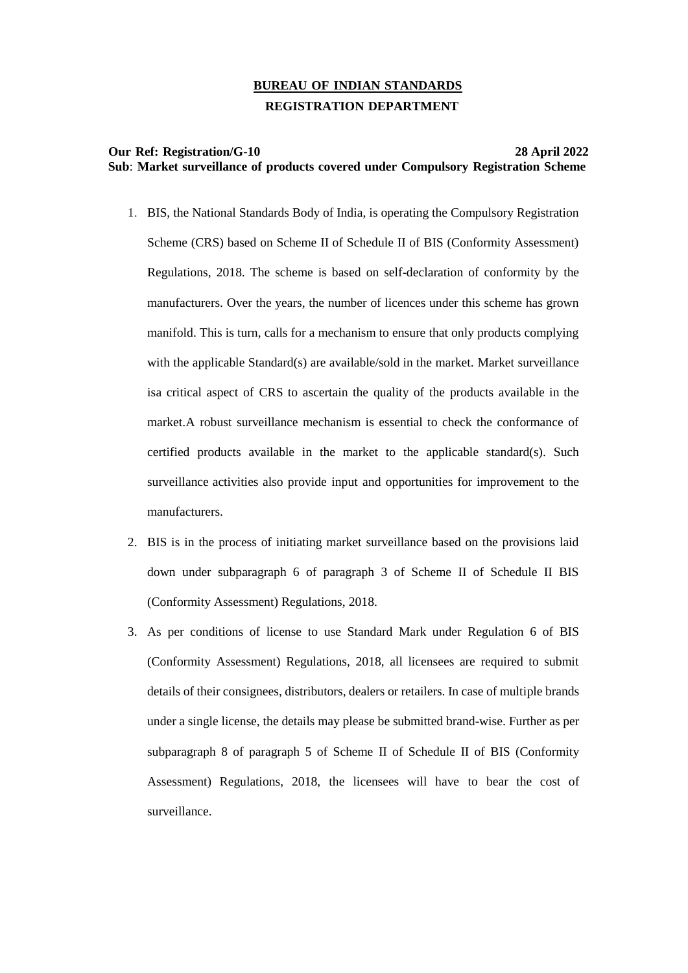# **BUREAU OF INDIAN STANDARDS REGISTRATION DEPARTMENT**

### **Our Ref: Registration/G-10 28 April 2022 Sub**: **Market surveillance of products covered under Compulsory Registration Scheme**

- 1. BIS, the National Standards Body of India, is operating the Compulsory Registration Scheme (CRS) based on Scheme II of Schedule II of BIS (Conformity Assessment) Regulations, 2018. The scheme is based on self-declaration of conformity by the manufacturers. Over the years, the number of licences under this scheme has grown manifold. This is turn, calls for a mechanism to ensure that only products complying with the applicable Standard(s) are available/sold in the market. Market surveillance isa critical aspect of CRS to ascertain the quality of the products available in the market.A robust surveillance mechanism is essential to check the conformance of certified products available in the market to the applicable standard(s). Such surveillance activities also provide input and opportunities for improvement to the manufacturers.
- 2. BIS is in the process of initiating market surveillance based on the provisions laid down under subparagraph 6 of paragraph 3 of Scheme II of Schedule II BIS (Conformity Assessment) Regulations, 2018.
- 3. As per conditions of license to use Standard Mark under Regulation 6 of BIS (Conformity Assessment) Regulations, 2018, all licensees are required to submit details of their consignees, distributors, dealers or retailers. In case of multiple brands under a single license, the details may please be submitted brand-wise. Further as per subparagraph 8 of paragraph 5 of Scheme II of Schedule II of BIS (Conformity Assessment) Regulations, 2018, the licensees will have to bear the cost of surveillance.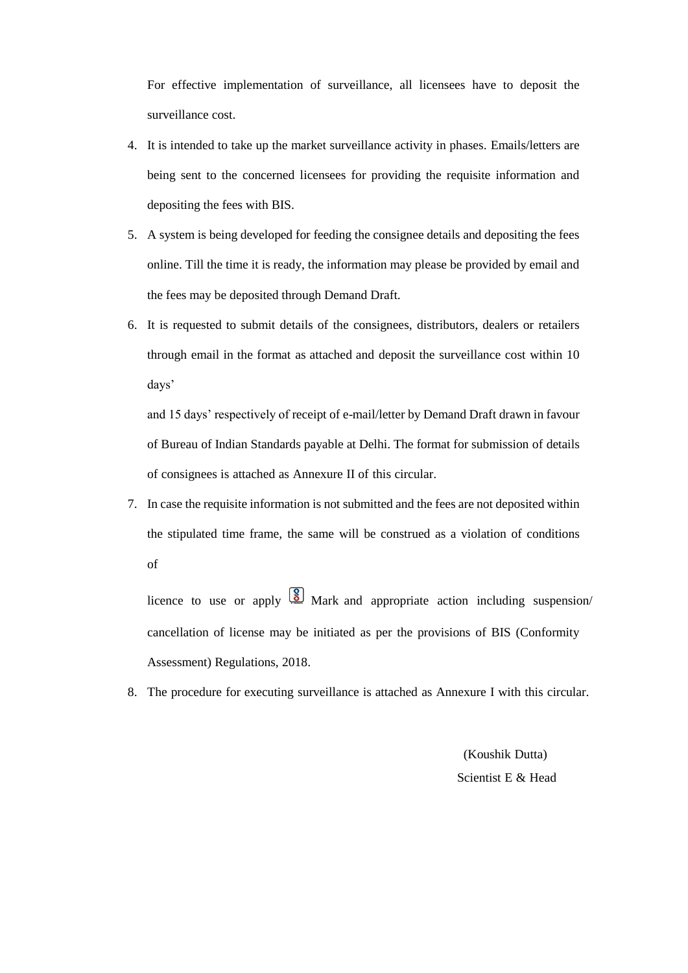For effective implementation of surveillance, all licensees have to deposit the surveillance cost.

- 4. It is intended to take up the market surveillance activity in phases. Emails/letters are being sent to the concerned licensees for providing the requisite information and depositing the fees with BIS.
- 5. A system is being developed for feeding the consignee details and depositing the fees online. Till the time it is ready, the information may please be provided by email and the fees may be deposited through Demand Draft.
- 6. It is requested to submit details of the consignees, distributors, dealers or retailers through email in the format as attached and deposit the surveillance cost within 10 days'

and 15 days' respectively of receipt of e-mail/letter by Demand Draft drawn in favour of Bureau of Indian Standards payable at Delhi. The format for submission of details of consignees is attached as Annexure II of this circular.

7. In case the requisite information is not submitted and the fees are not deposited within the stipulated time frame, the same will be construed as a violation of conditions of

licence to use or apply  $\boxed{8}$  Mark and appropriate action including suspension/ cancellation of license may be initiated as per the provisions of BIS (Conformity Assessment) Regulations, 2018.

8. The procedure for executing surveillance is attached as Annexure I with this circular.

(Koushik Dutta) Scientist E & Head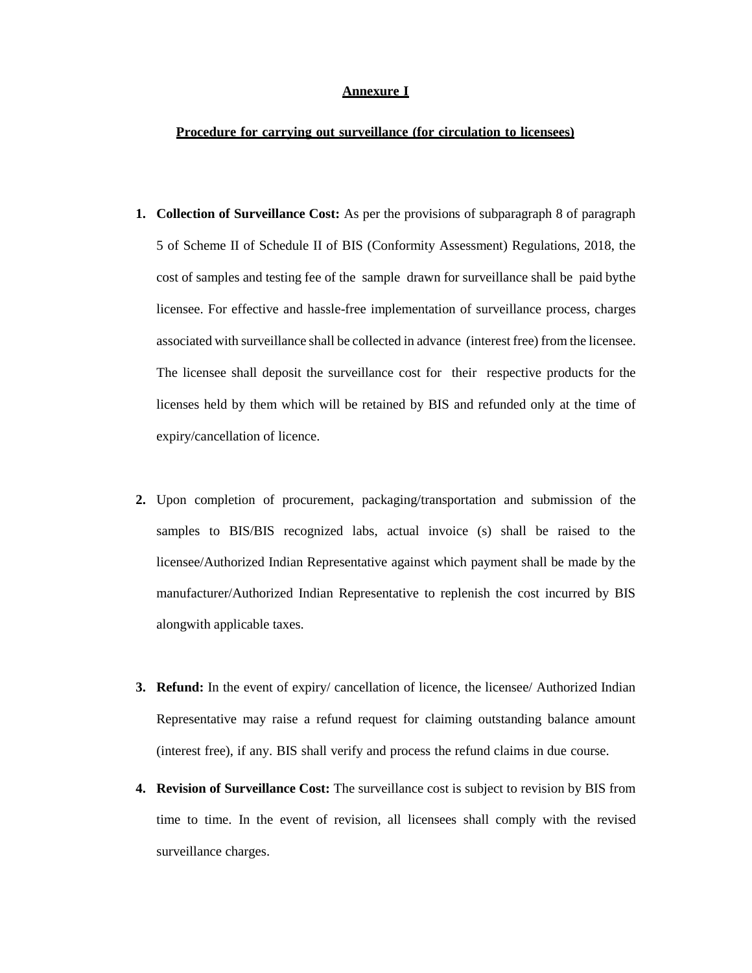#### **Annexure I**

#### **Procedure for carrying out surveillance (for circulation to licensees)**

- **1. Collection of Surveillance Cost:** As per the provisions of subparagraph 8 of paragraph 5 of Scheme II of Schedule II of BIS (Conformity Assessment) Regulations, 2018, the cost of samples and testing fee of the sample drawn for surveillance shall be paid bythe licensee. For effective and hassle-free implementation of surveillance process, charges associated with surveillance shall be collected in advance (interest free) from the licensee. The licensee shall deposit the surveillance cost for their respective products for the licenses held by them which will be retained by BIS and refunded only at the time of expiry/cancellation of licence.
- **2.** Upon completion of procurement, packaging/transportation and submission of the samples to BIS/BIS recognized labs, actual invoice (s) shall be raised to the licensee/Authorized Indian Representative against which payment shall be made by the manufacturer/Authorized Indian Representative to replenish the cost incurred by BIS alongwith applicable taxes.
- **3. Refund:** In the event of expiry/ cancellation of licence, the licensee/ Authorized Indian Representative may raise a refund request for claiming outstanding balance amount (interest free), if any. BIS shall verify and process the refund claims in due course.
- **4. Revision of Surveillance Cost:** The surveillance cost is subject to revision by BIS from time to time. In the event of revision, all licensees shall comply with the revised surveillance charges.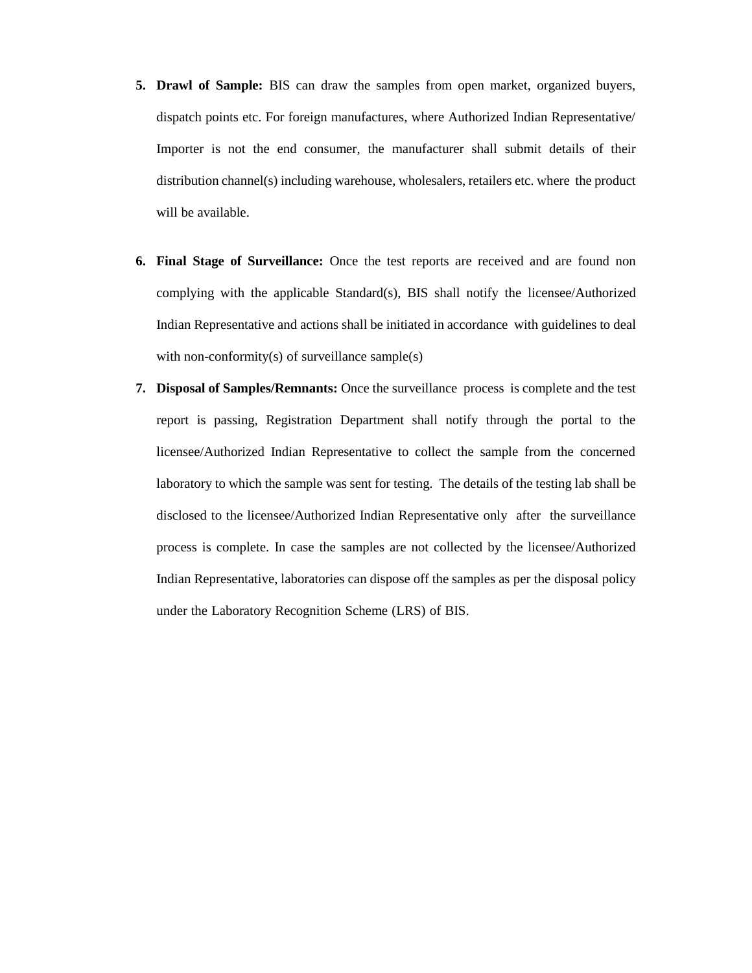- **5. Drawl of Sample:** BIS can draw the samples from open market, organized buyers, dispatch points etc. For foreign manufactures, where Authorized Indian Representative/ Importer is not the end consumer, the manufacturer shall submit details of their distribution channel(s) including warehouse, wholesalers, retailers etc. where the product will be available.
- **6. Final Stage of Surveillance:** Once the test reports are received and are found non complying with the applicable Standard(s), BIS shall notify the licensee/Authorized Indian Representative and actions shall be initiated in accordance with guidelines to deal with non-conformity(s) of surveillance sample(s)
- **7. Disposal of Samples/Remnants:** Once the surveillance process is complete and the test report is passing, Registration Department shall notify through the portal to the licensee/Authorized Indian Representative to collect the sample from the concerned laboratory to which the sample was sent for testing. The details of the testing lab shall be disclosed to the licensee/Authorized Indian Representative only after the surveillance process is complete. In case the samples are not collected by the licensee/Authorized Indian Representative, laboratories can dispose off the samples as per the disposal policy under the Laboratory Recognition Scheme (LRS) of BIS.